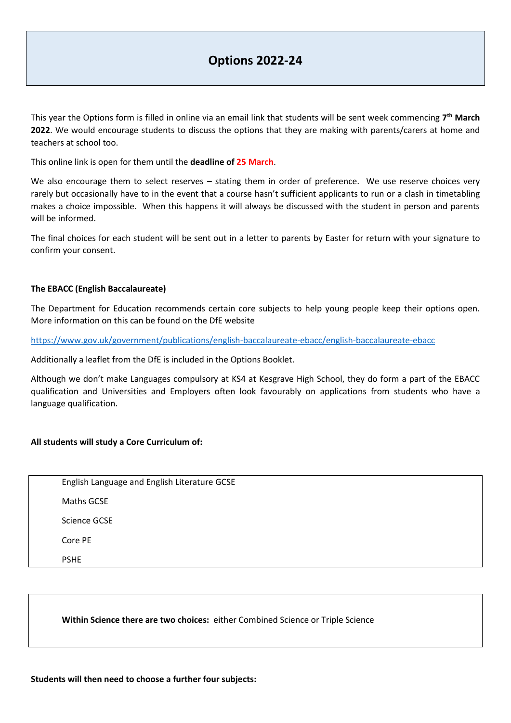This year the Options form is filled in online via an email link that students will be sent week commencing **7 th March 2022**. We would encourage students to discuss the options that they are making with parents/carers at home and teachers at school too.

This online link is open for them until the **deadline of 25 March**.

We also encourage them to select reserves - stating them in order of preference. We use reserve choices very rarely but occasionally have to in the event that a course hasn't sufficient applicants to run or a clash in timetabling makes a choice impossible. When this happens it will always be discussed with the student in person and parents will be informed.

The final choices for each student will be sent out in a letter to parents by Easter for return with your signature to confirm your consent.

## **The EBACC (English Baccalaureate)**

The Department for Education recommends certain core subjects to help young people keep their options open. More information on this can be found on the DfE website

<https://www.gov.uk/government/publications/english-baccalaureate-ebacc/english-baccalaureate-ebacc>

Additionally a leaflet from the DfE is included in the Options Booklet.

Although we don't make Languages compulsory at KS4 at Kesgrave High School, they do form a part of the EBACC qualification and Universities and Employers often look favourably on applications from students who have a language qualification.

## **All students will study a Core Curriculum of:**

| English Language and English Literature GCSE |
|----------------------------------------------|
| Maths GCSE                                   |
| Science GCSE                                 |
| Core PE                                      |
| <b>PSHF</b>                                  |

**Within Science there are two choices:** either Combined Science or Triple Science